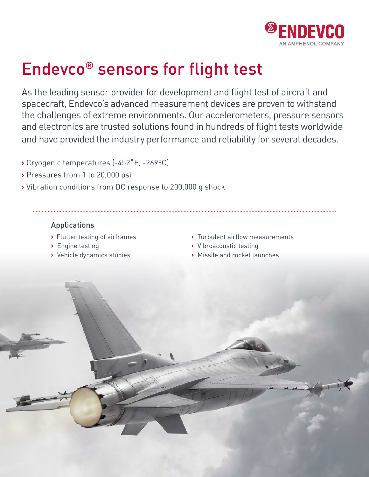

# Endevco® sensors for flight test

As the leading sensor provider for development and flight test of aircraft and spacecraft, Endevco's advanced measurement devices are proven to withstand the challenges of extreme environments. Our accelerometers, pressure sensors and electronics are trusted solutions found in hundreds of flight tests worldwide and have provided the industry performance and reliability for several decades.

- **>** Cryogenic temperatures (-452˚F, -269ºC)
- **>** Pressures from 1 to 20,000 psi
- **>** Vibration conditions from DC response to 200,000 g shock

### Applications

- 
- 
- 
- **>** Flutter testing of airframes **>** Turbulent airflow measurements
- **>** Engine testing **>** Vibroacoustic testing
- **>** Vehicle dynamics studies **>** Missile and rocket launches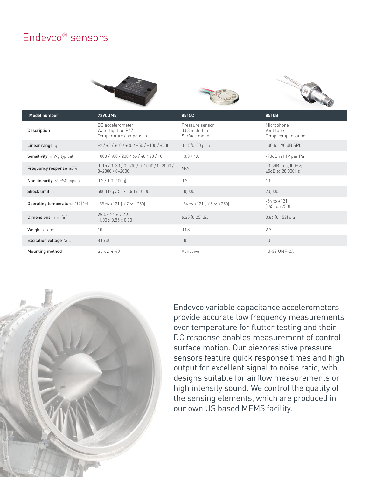# Endevco® sensors







| Model number                    | 7290GM5                                                           | 8515C                                              | 8510B                                        |
|---------------------------------|-------------------------------------------------------------------|----------------------------------------------------|----------------------------------------------|
| Description                     | DC accelerometer<br>Watertight to IP67<br>Temperature compensated | Pressure sensor<br>0.03 inch thin<br>Surface mount | Microphone<br>Vent tube<br>Temp compensation |
| Linear range q                  | $\pm 2 / \pm 5 / \pm 10 / \pm 30 / \pm 50 / \pm 100 / \pm 200$    | $0-15/0-50$ psia                                   | 100 to 190 dB SPL                            |
| <b>Sensitivity</b> mV/q typical | 1000 / 400 / 200 / 66 / 40 / 20 / 10                              | 13.3 / 4.0                                         | -93dB ref 1V per Pa                          |
| Frequency response $\pm 5\%$    | $0-15/0-30/0-500/0-1000/0-2000/$<br>$0 - 2000 / 0 - 2000$         | N/A                                                | $±0.5dB$ to 5,000Hz;<br>$±5dB$ to 20,000Hz   |
| Non linearity % FSO typical     | $0.2 / 1.0$ (100g)                                                | 0.2                                                | 1.0                                          |
| Shock limit q                   | 5000 (2q / 5q / 10q) / 10,000                                     | 10,000                                             | 20,000                                       |
| Operating temperature °C (°F)   | $-55$ to $+121$ [ $-67$ to $+250$ ]                               | $-54$ to $+121$ $[-65$ to $+250]$                  | $-54$ to $+121$<br>$[-65$ to $+250]$         |
| Dimensions mm (in)              | $25.4 \times 21.6 \times 7.6$<br>$[1.00 \times 0.85 \times 0.30]$ | $6.35$ $(0.25)$ dia                                | 3.86 (0.152) dia                             |
| Weight grams                    | 10                                                                | 0.08                                               | 2.3                                          |
| Excitation voltage Vdc          | 8 to 40                                                           | 10                                                 | 10                                           |
| Mounting method                 | Screw 4-40                                                        | Adhesive                                           | 10-32 UNF-2A                                 |



Endevco variable capacitance accelerometers provide accurate low frequency measurements over temperature for flutter testing and their DC response enables measurement of control surface motion. Our piezoresistive pressure sensors feature quick response times and high output for excellent signal to noise ratio, with designs suitable for airflow measurements or high intensity sound. We control the quality of the sensing elements, which are produced in our own US based MEMS facility.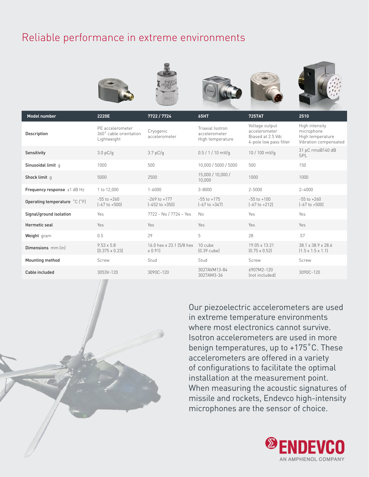# Reliable performance in extreme environments



| modet number                     | ZZZUE                                                     | 112211124                                     | оэп н                                                 | 7437AL                                                                         | Z9 I U                                                                    |
|----------------------------------|-----------------------------------------------------------|-----------------------------------------------|-------------------------------------------------------|--------------------------------------------------------------------------------|---------------------------------------------------------------------------|
| Description                      | PF accelerometer<br>360° cable orientation<br>Lightweight | Cryogenic<br>accelerometer                    | Triaxial Isotron<br>accelerometer<br>High temperature | Voltage output<br>accelerometer<br>Biased at 2.5 Vdc<br>4-pole low pass filter | High intensity<br>microphone<br>High temperature<br>Vibration compensated |
| Sensitivity                      | 3.0 pC/q                                                  | 3.7 pC/g                                      | $0.5 / 1 / 10$ mV/g                                   | 10 / 100 mV/g                                                                  | 31 pC rms@140 dB<br><b>SPL</b>                                            |
| Sinusoidal limit q               | 1000                                                      | 500                                           | 10,000 / 5000 / 5000                                  | 500                                                                            | 150                                                                       |
| Shock limit q                    | 5000                                                      | 2500                                          | 15,000 / 10,000 /<br>10,000                           | 1000                                                                           | 1000                                                                      |
| Frequency response $\pm 1$ dB Hz | 1 to 12,000                                               | $1 - 6000$                                    | $3 - 8000$                                            | $2 - 5000$                                                                     | $2 - 4000$                                                                |
| Operating temperature °C (°F)    | $-55$ to $+260$<br>$[-67 \text{ to } +500]$               | $-269$ to $+177$<br>$[-452 \text{ to } +350]$ | $-55$ to $+175$<br>$[-67 \text{ to } +347]$           | $-55$ to $+100$<br>$[-67$ to $+212]$                                           | $-55$ to $+260$<br>$[-67 \text{ to } +500]$                               |
| Signal/ground isolation          | Yes                                                       | 7722 - No / 7724 - Yes                        | No                                                    | Yes                                                                            | Yes                                                                       |
| Hermetic seal                    | Yes                                                       | Yes                                           | Yes                                                   | Yes                                                                            | Yes                                                                       |
| Weight gram                      | 0.5                                                       | 29                                            | 5                                                     | 28                                                                             | .57                                                                       |
| Dimensions mm (in)               | $9.53 \times 5.8$<br>$[0.375 \times 0.23]$                | 16.0 hex x 23.1 (5/8 hex<br>x 0.91)           | 10 cube<br>$[0.39$ cube]                              | 19.05 x 13.21<br>$(0.75 \times 0.52)$                                          | 38.1 x 38.9 x 28.6<br>$(1.5 \times 1.5 \times 1.1)$                       |
| Mounting method                  | Screw                                                     | Stud                                          | Stud                                                  | Screw                                                                          | Screw                                                                     |
| Cable included                   | 3053V-120                                                 | 3090C-120                                     | 3027AVM13-84<br>3027AM3-36                            | 6907M2-120<br>(not included)                                                   | 3090C-120                                                                 |

Our piezoelectric accelerometers are used in extreme temperature environments where most electronics cannot survive. Isotron accelerometers are used in more benign temperatures, up to +175˚C. These accelerometers are offered in a variety of configurations to facilitate the optimal installation at the measurement point. When measuring the acoustic signatures of missile and rockets, Endevco high-intensity microphones are the sensor of choice.